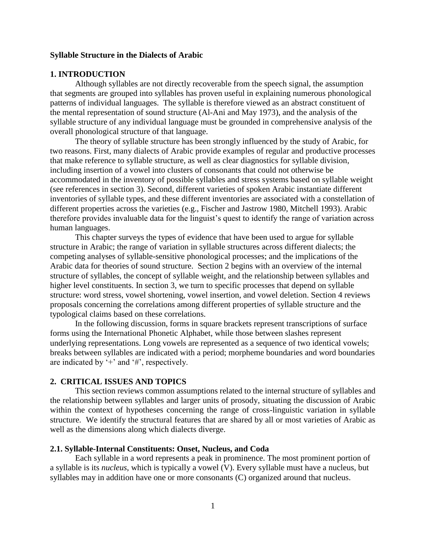## **Syllable Structure in the Dialects of Arabic**

# **1. INTRODUCTION**

Although syllables are not directly recoverable from the speech signal, the assumption that segments are grouped into syllables has proven useful in explaining numerous phonological patterns of individual languages. The syllable is therefore viewed as an abstract constituent of the mental representation of sound structure (Al-Ani and May 1973), and the analysis of the syllable structure of any individual language must be grounded in comprehensive analysis of the overall phonological structure of that language.

The theory of syllable structure has been strongly influenced by the study of Arabic, for two reasons. First, many dialects of Arabic provide examples of regular and productive processes that make reference to syllable structure, as well as clear diagnostics for syllable division, including insertion of a vowel into clusters of consonants that could not otherwise be accommodated in the inventory of possible syllables and stress systems based on syllable weight (see references in section 3). Second, different varieties of spoken Arabic instantiate different inventories of syllable types, and these different inventories are associated with a constellation of different properties across the varieties (e.g., Fischer and Jastrow 1980, Mitchell 1993). Arabic therefore provides invaluable data for the linguist's quest to identify the range of variation across human languages.

This chapter surveys the types of evidence that have been used to argue for syllable structure in Arabic; the range of variation in syllable structures across different dialects; the competing analyses of syllable-sensitive phonological processes; and the implications of the Arabic data for theories of sound structure. Section 2 begins with an overview of the internal structure of syllables, the concept of syllable weight, and the relationship between syllables and higher level constituents. In section 3, we turn to specific processes that depend on syllable structure: word stress, vowel shortening, vowel insertion, and vowel deletion. Section 4 reviews proposals concerning the correlations among different properties of syllable structure and the typological claims based on these correlations.

 In the following discussion, forms in square brackets represent transcriptions of surface forms using the International Phonetic Alphabet, while those between slashes represent underlying representations. Long vowels are represented as a sequence of two identical vowels; breaks between syllables are indicated with a period; morpheme boundaries and word boundaries are indicated by  $+$  and  $#$ , respectively.

### **2. CRITICAL ISSUES AND TOPICS**

This section reviews common assumptions related to the internal structure of syllables and the relationship between syllables and larger units of prosody, situating the discussion of Arabic within the context of hypotheses concerning the range of cross-linguistic variation in syllable structure. We identify the structural features that are shared by all or most varieties of Arabic as well as the dimensions along which dialects diverge.

## **2.1. Syllable-Internal Constituents: Onset, Nucleus, and Coda**

Each syllable in a word represents a peak in prominence. The most prominent portion of a syllable is its *nucleus*, which is typically a vowel (V). Every syllable must have a nucleus, but syllables may in addition have one or more consonants (C) organized around that nucleus.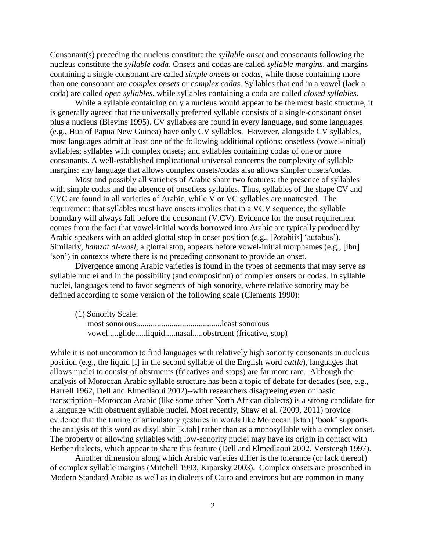Consonant(s) preceding the nucleus constitute the *syllable onset* and consonants following the nucleus constitute the *syllable coda*. Onsets and codas are called *syllable margins*, and margins containing a single consonant are called *simple onsets* or *codas,* while those containing more than one consonant are *complex onsets* or *complex codas*. Syllables that end in a vowel (lack a coda) are called *open syllables*, while syllables containing a coda are called *closed syllables*.

While a syllable containing only a nucleus would appear to be the most basic structure, it is generally agreed that the universally preferred syllable consists of a single-consonant onset plus a nucleus (Blevins 1995). CV syllables are found in every language, and some languages (e.g., Hua of Papua New Guinea) have only CV syllables. However, alongside CV syllables, most languages admit at least one of the following additional options: onsetless (vowel-initial) syllables; syllables with complex onsets; and syllables containing codas of one or more consonants. A well-established implicational universal concerns the complexity of syllable margins: any language that allows complex onsets/codas also allows simpler onsets/codas.

Most and possibly all varieties of Arabic share two features: the presence of syllables with simple codas and the absence of onsetless syllables. Thus, syllables of the shape CV and CVC are found in all varieties of Arabic, while V or VC syllables are unattested. The requirement that syllables must have onsets implies that in a VCV sequence, the syllable boundary will always fall before the consonant (V.CV). Evidence for the onset requirement comes from the fact that vowel-initial words borrowed into Arabic are typically produced by Arabic speakers with an added glottal stop in onset position (e.g., [ʔotobiis] 'autobus'). Similarly, *hamzat al-wasl*, a glottal stop, appears before vowel-initial morphemes (e.g., [ibn] 'son') in contexts where there is no preceding consonant to provide an onset.

Divergence among Arabic varieties is found in the types of segments that may serve as syllable nuclei and in the possibility (and composition) of complex onsets or codas. In syllable nuclei, languages tend to favor segments of high sonority, where relative sonority may be defined according to some version of the following scale (Clements 1990):

| (1) Sonority Scale: |                                                  |
|---------------------|--------------------------------------------------|
|                     |                                                  |
|                     | vowelglideliquidnasalobstruent (fricative, stop) |

While it is not uncommon to find languages with relatively high sonority consonants in nucleus position (e.g., the liquid [l] in the second syllable of the English word *cattle*), languages that allows nuclei to consist of obstruents (fricatives and stops) are far more rare. Although the analysis of Moroccan Arabic syllable structure has been a topic of debate for decades (see, e.g., Harrell 1962, Dell and Elmedlaoui 2002)--with researchers disagreeing even on basic transcription--Moroccan Arabic (like some other North African dialects) is a strong candidate for a language with obstruent syllable nuclei. Most recently, Shaw et al. (2009, 2011) provide evidence that the timing of articulatory gestures in words like Moroccan [ktab] 'book' supports the analysis of this word as disyllabic [k.tab] rather than as a monosyllable with a complex onset. The property of allowing syllables with low-sonority nuclei may have its origin in contact with Berber dialects, which appear to share this feature (Dell and Elmedlaoui 2002, Versteegh 1997).

Another dimension along which Arabic varieties differ is the tolerance (or lack thereof) of complex syllable margins (Mitchell 1993, Kiparsky 2003). Complex onsets are proscribed in Modern Standard Arabic as well as in dialects of Cairo and environs but are common in many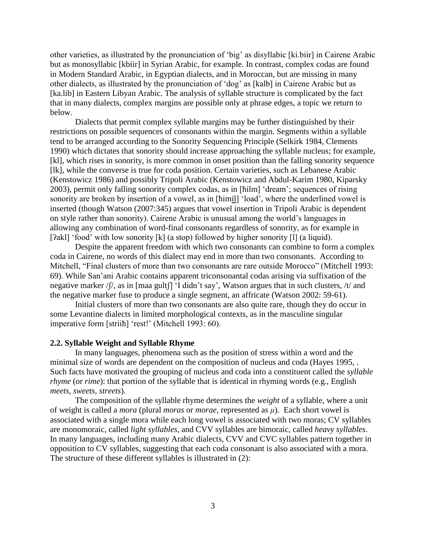other varieties, as illustrated by the pronunciation of 'big' as disyllabic [ki.biir] in Cairene Arabic but as monosyllabic [kbiir] in Syrian Arabic, for example. In contrast, complex codas are found in Modern Standard Arabic, in Egyptian dialects, and in Moroccan, but are missing in many other dialects, as illustrated by the pronunciation of 'dog' as [kalb] in Cairene Arabic but as [ka.lib] in Eastern Libyan Arabic. The analysis of syllable structure is complicated by the fact that in many dialects, complex margins are possible only at phrase edges, a topic we return to below.

Dialects that permit complex syllable margins may be further distinguished by their restrictions on possible sequences of consonants within the margin. Segments within a syllable tend to be arranged according to the Sonority Sequencing Principle (Selkirk 1984, Clements 1990) which dictates that sonority should increase approaching the syllable nucleus; for example, [kl], which rises in sonority, is more common in onset position than the falling sonority sequence [lk], while the converse is true for coda position. Certain varieties, such as Lebanese Arabic (Kenstowicz 1986) and possibly Tripoli Arabic (Kenstowicz and Abdul-Karim 1980, Kiparsky 2003), permit only falling sonority complex codas, as in [ħilm] 'dream'; sequences of rising sonority are broken by insertion of a vowel, as in [ħimil] 'load', where the underlined vowel is inserted (though Watson (2007:345) argues that vowel insertion in Tripoli Arabic is dependent on style rather than sonority). Cairene Arabic is unusual among the world's languages in allowing any combination of word-final consonants regardless of sonority, as for example in [?akl] 'food' with low sonority [k] (a stop) followed by higher sonority [1] (a liquid).

Despite the apparent freedom with which two consonants can combine to form a complex coda in Cairene, no words of this dialect may end in more than two consonants. According to Mitchell, "Final clusters of more than two consonants are rare outside Morocco" (Mitchell 1993: 69). While San'ani Arabic contains apparent triconsonantal codas arising via suffixation of the negative marker /ʃ/, as in [maa gult] 'I didn't say', Watson argues that in such clusters, /t/ and the negative marker fuse to produce a single segment, an affricate (Watson 2002: 59-61).

Initial clusters of more than two consonants are also quite rare, though they do occur in some Levantine dialects in limited morphological contexts, as in the masculine singular imperative form [striiħ] 'rest!' (Mitchell 1993: 60).

### **2.2. Syllable Weight and Syllable Rhyme**

In many languages, phenomena such as the position of stress within a word and the minimal size of words are dependent on the composition of nucleus and coda (Hayes 1995, . Such facts have motivated the grouping of nucleus and coda into a constituent called the *syllable rhyme* (or *rime*): that portion of the syllable that is identical in rhyming words (e.g., English *meets, sweets, streets*).

The composition of the syllable rhyme determines the *weight* of a syllable, where a unit of weight is called a *mora* (plural *moras* or *morae,* represented as *μ*). Each short vowel is associated with a single mora while each long vowel is associated with two moras; CV syllables are monomoraic, called *light syllables*, and CVV syllables are bimoraic, called *heavy syllables*. In many languages, including many Arabic dialects, CVV and CVC syllables pattern together in opposition to CV syllables, suggesting that each coda consonant is also associated with a mora. The structure of these different syllables is illustrated in (2):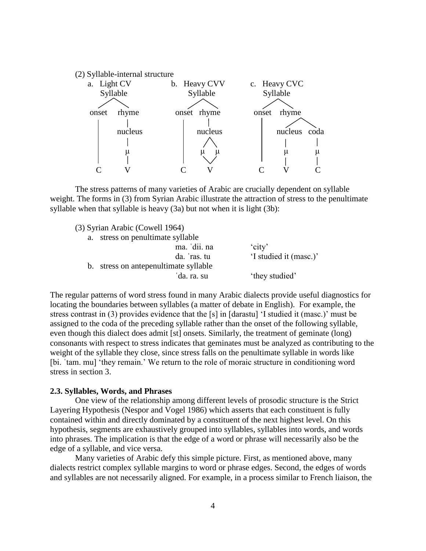

The stress patterns of many varieties of Arabic are crucially dependent on syllable weight. The forms in (3) from Syrian Arabic illustrate the attraction of stress to the penultimate syllable when that syllable is heavy (3a) but not when it is light (3b):

|           | (3) Syrian Arabic (Cowell 1964)    |                        |
|-----------|------------------------------------|------------------------|
| a.        | stress on penultimate syllable     |                        |
|           | ma. 'dii. na                       | 'city'                 |
|           | da. 'ras. tu                       | 'I studied it (masc.)' |
| $b_{\rm}$ | stress on antepenultimate syllable |                        |
|           | 'da. ra. su                        | 'they studied'         |
|           |                                    |                        |

The regular patterns of word stress found in many Arabic dialects provide useful diagnostics for locating the boundaries between syllables (a matter of debate in English). For example, the stress contrast in (3) provides evidence that the [s] in [darastu] 'I studied it (masc.)' must be assigned to the coda of the preceding syllable rather than the onset of the following syllable, even though this dialect does admit [st] onsets. Similarly, the treatment of geminate (long) consonants with respect to stress indicates that geminates must be analyzed as contributing to the weight of the syllable they close, since stress falls on the penultimate syllable in words like [bi. 'tam. mu] 'they remain.' We return to the role of moraic structure in conditioning word stress in section 3.

#### **2.3. Syllables, Words, and Phrases**

One view of the relationship among different levels of prosodic structure is the Strict Layering Hypothesis (Nespor and Vogel 1986) which asserts that each constituent is fully contained within and directly dominated by a constituent of the next highest level. On this hypothesis, segments are exhaustively grouped into syllables, syllables into words, and words into phrases. The implication is that the edge of a word or phrase will necessarily also be the edge of a syllable, and vice versa.

Many varieties of Arabic defy this simple picture. First, as mentioned above, many dialects restrict complex syllable margins to word or phrase edges. Second, the edges of words and syllables are not necessarily aligned. For example, in a process similar to French liaison, the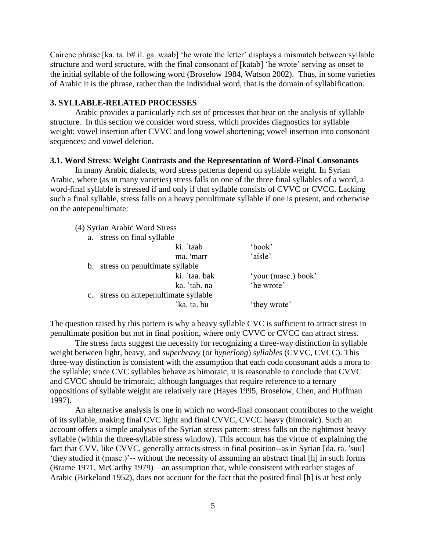Cairene phrase [ka. ta. b# il. ga. waab] 'he wrote the letter' displays a mismatch between syllable structure and word structure, with the final consonant of [katab] 'he wrote' serving as onset to the initial syllable of the following word (Broselow 1984, Watson 2002). Thus, in some varieties of Arabic it is the phrase, rather than the individual word, that is the domain of syllabification.

# **3. SYLLABLE-RELATED PROCESSES**

Arabic provides a particularly rich set of processes that bear on the analysis of syllable structure. In this section we consider word stress, which provides diagnostics for syllable weight; vowel insertion after CVVC and long vowel shortening; vowel insertion into consonant sequences; and vowel deletion.

# **3.1. Word Stress**: **Weight Contrasts and the Representation of Word-Final Consonants**

In many Arabic dialects, word stress patterns depend on syllable weight. In Syrian Arabic, where (as in many varieties) stress falls on one of the three final syllables of a word, a word-final syllable is stressed if and only if that syllable consists of CVVC or CVCC. Lacking such a final syllable, stress falls on a heavy penultimate syllable if one is present, and otherwise on the antepenultimate:

|                | (4) Syrian Arabic Word Stress      |               |                     |
|----------------|------------------------------------|---------------|---------------------|
|                | a. stress on final syllable        |               |                     |
|                |                                    | ki. taab      | 'book'              |
|                |                                    | ma. 'marr     | 'aisle'             |
|                | b. stress on penultimate syllable  |               |                     |
|                |                                    | ki. 'taa. bak | 'your (masc.) book' |
|                |                                    | ka. 'tab. na  | 'he wrote'          |
| $\mathbf{c}$ . | stress on antepenultimate syllable |               |                     |
|                |                                    | 'ka. ta. bu   | 'they wrote'        |
|                |                                    |               |                     |

The question raised by this pattern is why a heavy syllable CVC is sufficient to attract stress in penultimate position but not in final position, where only CVVC or CVCC can attract stress.

The stress facts suggest the necessity for recognizing a three-way distinction in syllable weight between light, heavy, and *superheavy* (or *hyperlong*) *syllables* (CVVC, CVCC). This three-way distinction is consistent with the assumption that each coda consonant adds a mora to the syllable; since CVC syllables behave as bimoraic, it is reasonable to conclude that CVVC and CVCC should be trimoraic, although languages that require reference to a ternary oppositions of syllable weight are relatively rare (Hayes 1995, Broselow, Chen, and Huffman 1997).

An alternative analysis is one in which no word-final consonant contributes to the weight of its syllable, making final CVC light and final CVVC, CVCC heavy (bimoraic). Such an account offers a simple analysis of the Syrian stress pattern: stress falls on the rightmost heavy syllable (within the three-syllable stress window). This account has the virtue of explaining the fact that CVV, like CVVC, generally attracts stress in final position--as in Syrian [da. ra. ʹsuu] 'they studied it (masc.)'-- without the necessity of assuming an abstract final [h] in such forms (Brame 1971, McCarthy 1979)—an assumption that, while consistent with earlier stages of Arabic (Birkeland 1952), does not account for the fact that the posited final [h] is at best only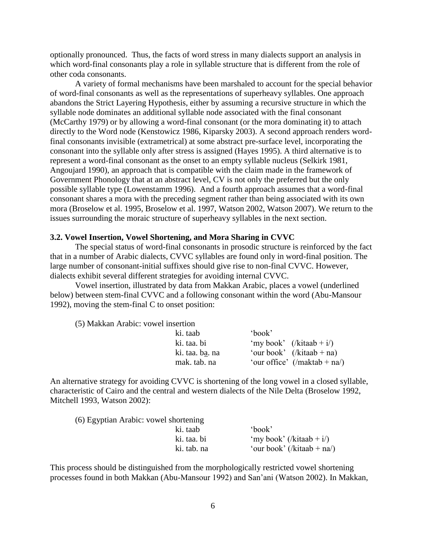optionally pronounced. Thus, the facts of word stress in many dialects support an analysis in which word-final consonants play a role in syllable structure that is different from the role of other coda consonants.

A variety of formal mechanisms have been marshaled to account for the special behavior of word-final consonants as well as the representations of superheavy syllables. One approach abandons the Strict Layering Hypothesis, either by assuming a recursive structure in which the syllable node dominates an additional syllable node associated with the final consonant (McCarthy 1979) or by allowing a word-final consonant (or the mora dominating it) to attach directly to the Word node (Kenstowicz 1986, Kiparsky 2003). A second approach renders wordfinal consonants invisible (extrametrical) at some abstract pre-surface level, incorporating the consonant into the syllable only after stress is assigned (Hayes 1995). A third alternative is to represent a word-final consonant as the onset to an empty syllable nucleus (Selkirk 1981, Angoujard 1990), an approach that is compatible with the claim made in the framework of Government Phonology that at an abstract level, CV is not only the preferred but the only possible syllable type (Lowenstamm 1996). And a fourth approach assumes that a word-final consonant shares a mora with the preceding segment rather than being associated with its own mora (Broselow et al. 1995, Broselow et al. 1997, Watson 2002, Watson 2007). We return to the issues surrounding the moraic structure of superheavy syllables in the next section.

### **3.2. Vowel Insertion, Vowel Shortening, and Mora Sharing in CVVC**

The special status of word-final consonants in prosodic structure is reinforced by the fact that in a number of Arabic dialects, CVVC syllables are found only in word-final position. The large number of consonant-initial suffixes should give rise to non-final CVVC. However, dialects exhibit several different strategies for avoiding internal CVVC.

Vowel insertion, illustrated by data from Makkan Arabic, places a vowel (underlined below) between stem-final CVVC and a following consonant within the word (Abu-Mansour 1992), moving the stem-final C to onset position:

(5) Makkan Arabic: vowel insertion

| ki. taab        | 'book'                                     |
|-----------------|--------------------------------------------|
| ki. taa. bi     | 'my book' $(\text{kitaab} + i)$            |
| ki. taa. ba. na | 'our book' $(\text{kitaab} + \text{na})$   |
| mak. tab. na    | 'our office' $(\text{maktab} + \text{na})$ |

An alternative strategy for avoiding CVVC is shortening of the long vowel in a closed syllable, characteristic of Cairo and the central and western dialects of the Nile Delta (Broselow 1992, Mitchell 1993, Watson 2002):

| (6) Egyptian Arabic: vowel shortening |             |                            |
|---------------------------------------|-------------|----------------------------|
|                                       | ki. taab    | 'book'                     |
|                                       | ki. taa. bi | 'my book' (/kitaab + i/)   |
|                                       | ki. tab. na | 'our book' (/kitaab + na/) |

This process should be distinguished from the morphologically restricted vowel shortening processes found in both Makkan (Abu-Mansour 1992) and San'ani (Watson 2002). In Makkan,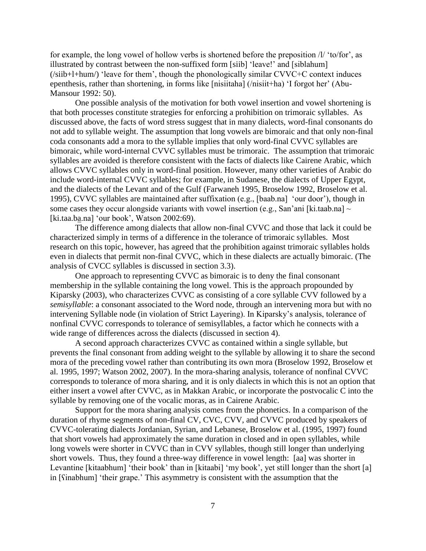for example, the long vowel of hollow verbs is shortened before the preposition /l/ 'to/for', as illustrated by contrast between the non-suffixed form [siib] 'leave!' and [siblahum] (/siib+l+hum/) 'leave for them', though the phonologically similar CVVC+C context induces epenthesis, rather than shortening, in forms like [nisiitaha] (/nisiit+ha) 'I forgot her' (Abu-Mansour 1992: 50).

One possible analysis of the motivation for both vowel insertion and vowel shortening is that both processes constitute strategies for enforcing a prohibition on trimoraic syllables. As discussed above, the facts of word stress suggest that in many dialects, word-final consonants do not add to syllable weight. The assumption that long vowels are bimoraic and that only non-final coda consonants add a mora to the syllable implies that only word-final CVVC syllables are bimoraic, while word-internal CVVC syllables must be trimoraic. The assumption that trimoraic syllables are avoided is therefore consistent with the facts of dialects like Cairene Arabic, which allows CVVC syllables only in word-final position. However, many other varieties of Arabic do include word-internal CVVC syllables; for example, in Sudanese, the dialects of Upper Egypt, and the dialects of the Levant and of the Gulf (Farwaneh 1995, Broselow 1992, Broselow et al. 1995), CVVC syllables are maintained after suffixation (e.g., [baab.na] 'our door'), though in some cases they occur alongside variants with vowel insertion (e.g., San'ani [ki.taab.na]  $\sim$ [ki.taa.ba.na] 'our book', Watson 2002:69).

The difference among dialects that allow non-final CVVC and those that lack it could be characterized simply in terms of a difference in the tolerance of trimoraic syllables. Most research on this topic, however, has agreed that the prohibition against trimoraic syllables holds even in dialects that permit non-final CVVC, which in these dialects are actually bimoraic. (The analysis of CVCC syllables is discussed in section 3.3).

One approach to representing CVVC as bimoraic is to deny the final consonant membership in the syllable containing the long vowel. This is the approach propounded by Kiparsky (2003), who characterizes CVVC as consisting of a core syllable CVV followed by a *semisyllable*: a consonant associated to the Word node, through an intervening mora but with no intervening Syllable node (in violation of Strict Layering). In Kiparsky's analysis, tolerance of nonfinal CVVC corresponds to tolerance of semisyllables, a factor which he connects with a wide range of differences across the dialects (discussed in section 4).

A second approach characterizes CVVC as contained within a single syllable, but prevents the final consonant from adding weight to the syllable by allowing it to share the second mora of the preceding vowel rather than contributing its own mora (Broselow 1992, Broselow et al. 1995, 1997; Watson 2002, 2007). In the mora-sharing analysis, tolerance of nonfinal CVVC corresponds to tolerance of mora sharing, and it is only dialects in which this is not an option that either insert a vowel after CVVC, as in Makkan Arabic, or incorporate the postvocalic C into the syllable by removing one of the vocalic moras, as in Cairene Arabic.

Support for the mora sharing analysis comes from the phonetics. In a comparison of the duration of rhyme segments of non-final CV, CVC, CVV, and CVVC produced by speakers of CVVC-tolerating dialects Jordanian, Syrian, and Lebanese, Broselow et al. (1995, 1997) found that short vowels had approximately the same duration in closed and in open syllables, while long vowels were shorter in CVVC than in CVV syllables, though still longer than underlying short vowels. Thus, they found a three-way difference in vowel length: [aa] was shorter in Levantine [kitaabhum] 'their book' than in [kitaabi] 'my book', yet still longer than the short [a] in [ʕinabhum] 'their grape.' This asymmetry is consistent with the assumption that the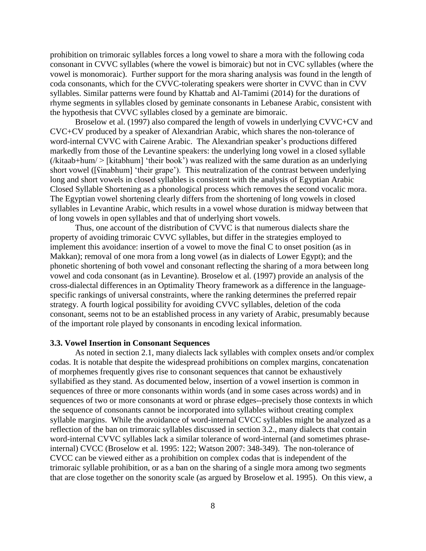prohibition on trimoraic syllables forces a long vowel to share a mora with the following coda consonant in CVVC syllables (where the vowel is bimoraic) but not in CVC syllables (where the vowel is monomoraic). Further support for the mora sharing analysis was found in the length of coda consonants, which for the CVVC-tolerating speakers were shorter in CVVC than in CVV syllables. Similar patterns were found by Khattab and Al-Tamimi (2014) for the durations of rhyme segments in syllables closed by geminate consonants in Lebanese Arabic, consistent with the hypothesis that CVVC syllables closed by a geminate are bimoraic.

Broselow et al. (1997) also compared the length of vowels in underlying CVVC+CV and CVC+CV produced by a speaker of Alexandrian Arabic, which shares the non-tolerance of word-internal CVVC with Cairene Arabic. The Alexandrian speaker's productions differed markedly from those of the Levantine speakers: the underlying long vowel in a closed syllable  $(\text{/kitaab+hum/} > [\text{kitabhum}]$  'their book') was realized with the same duration as an underlying short vowel ([Sinabhum] 'their grape'). This neutralization of the contrast between underlying long and short vowels in closed syllables is consistent with the analysis of Egyptian Arabic Closed Syllable Shortening as a phonological process which removes the second vocalic mora. The Egyptian vowel shortening clearly differs from the shortening of long vowels in closed syllables in Levantine Arabic, which results in a vowel whose duration is midway between that of long vowels in open syllables and that of underlying short vowels.

Thus, one account of the distribution of CVVC is that numerous dialects share the property of avoiding trimoraic CVVC syllables, but differ in the strategies employed to implement this avoidance: insertion of a vowel to move the final C to onset position (as in Makkan); removal of one mora from a long vowel (as in dialects of Lower Egypt); and the phonetic shortening of both vowel and consonant reflecting the sharing of a mora between long vowel and coda consonant (as in Levantine). Broselow et al. (1997) provide an analysis of the cross-dialectal differences in an Optimality Theory framework as a difference in the languagespecific rankings of universal constraints, where the ranking determines the preferred repair strategy. A fourth logical possibility for avoiding CVVC syllables, deletion of the coda consonant, seems not to be an established process in any variety of Arabic, presumably because of the important role played by consonants in encoding lexical information.

#### **3.3. Vowel Insertion in Consonant Sequences**

As noted in section 2.1, many dialects lack syllables with complex onsets and/or complex codas. It is notable that despite the widespread prohibitions on complex margins, concatenation of morphemes frequently gives rise to consonant sequences that cannot be exhaustively syllabified as they stand. As documented below, insertion of a vowel insertion is common in sequences of three or more consonants within words (and in some cases across words) and in sequences of two or more consonants at word or phrase edges--precisely those contexts in which the sequence of consonants cannot be incorporated into syllables without creating complex syllable margins. While the avoidance of word-internal CVCC syllables might be analyzed as a reflection of the ban on trimoraic syllables discussed in section 3.2., many dialects that contain word-internal CVVC syllables lack a similar tolerance of word-internal (and sometimes phraseinternal) CVCC (Broselow et al. 1995: 122; Watson 2007: 348-349). The non-tolerance of CVCC can be viewed either as a prohibition on complex codas that is independent of the trimoraic syllable prohibition, or as a ban on the sharing of a single mora among two segments that are close together on the sonority scale (as argued by Broselow et al. 1995). On this view, a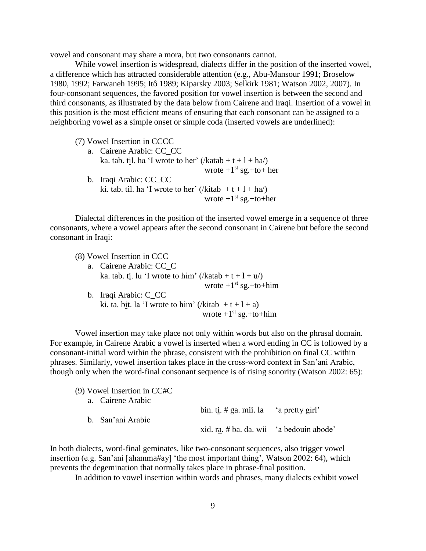vowel and consonant may share a mora, but two consonants cannot.

While vowel insertion is widespread, dialects differ in the position of the inserted vowel, a difference which has attracted considerable attention (e.g., Abu-Mansour 1991; Broselow 1980, 1992; Farwaneh 1995; Itô 1989; Kiparsky 2003; Selkirk 1981; Watson 2002, 2007). In four-consonant sequences, the favored position for vowel insertion is between the second and third consonants, as illustrated by the data below from Cairene and Iraqi. Insertion of a vowel in this position is the most efficient means of ensuring that each consonant can be assigned to a neighboring vowel as a simple onset or simple coda (inserted vowels are underlined):

(7) Vowel Insertion in CCCC a. Cairene Arabic: CC\_CC ka. tab. t<u>i</u>l. ha 'I wrote to her' (/katab + t + l + ha/) wrote  $+1^{st}$  sg.+to+ her b. Iraqi Arabic: CC\_CC ki. tab. til. ha 'I wrote to her' (/kitab + t + l + ha/) wrote  $+1^{st}$  sg.+to+her

Dialectal differences in the position of the inserted vowel emerge in a sequence of three consonants, where a vowel appears after the second consonant in Cairene but before the second consonant in Iraqi:

(8) Vowel Insertion in CCC

| a. Cairene Arabic: CC C                                |
|--------------------------------------------------------|
| ka. tab. ti. lu 'I wrote to him' (/katab + t + l + u/) |
| wrote $+1$ <sup>st</sup> sg.+to+him                    |
| b. Iraqi Arabic: C_CC                                  |
| ki. ta. bit. la 'I wrote to him' (/kitab + t + l + a)  |
| wrote $+1$ <sup>st</sup> sg.+to+him                    |

Vowel insertion may take place not only within words but also on the phrasal domain. For example, in Cairene Arabic a vowel is inserted when a word ending in CC is followed by a consonant-initial word within the phrase, consistent with the prohibition on final CC within phrases. Similarly, vowel insertion takes place in the cross-word context in San'ani Arabic, though only when the word-final consonant sequence is of rising sonority (Watson 2002: 65):

(9) Vowel Insertion in CC#C a. Cairene Arabic bin. ti. # ga. mii. la 'a pretty girl' b. San'ani Arabic xid. ra. # ba. da. wii 'a bedouin abode'

In both dialects, word-final geminates, like two-consonant sequences, also trigger vowel insertion (e.g. San'ani [ahamma#ay] 'the most important thing', Watson 2002: 64), which prevents the degemination that normally takes place in phrase-final position.

In addition to vowel insertion within words and phrases, many dialects exhibit vowel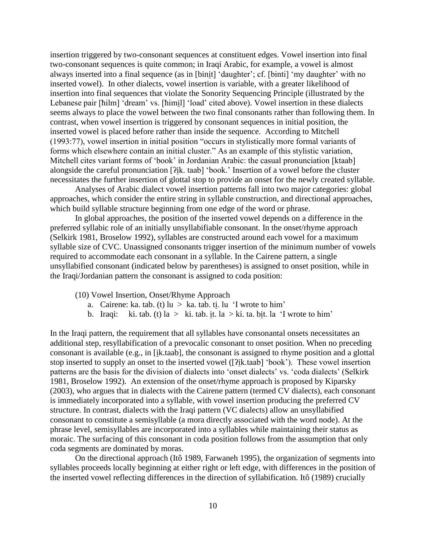insertion triggered by two-consonant sequences at constituent edges. Vowel insertion into final two-consonant sequences is quite common; in Iraqi Arabic, for example, a vowel is almost always inserted into a final sequence (as in [binit] 'daughter'; cf. [binti] 'my daughter' with no inserted vowel). In other dialects, vowel insertion is variable, with a greater likelihood of insertion into final sequences that violate the Sonority Sequencing Principle (illustrated by the Lebanese pair [ħilm] 'dream' vs. [ħimil] 'load' cited above). Vowel insertion in these dialects seems always to place the vowel between the two final consonants rather than following them. In contrast, when vowel insertion is triggered by consonant sequences in initial position, the inserted vowel is placed before rather than inside the sequence. According to Mitchell (1993:77), vowel insertion in initial position "occurs in stylistically more formal variants of forms which elsewhere contain an initial cluster." As an example of this stylistic variation, Mitchell cites variant forms of 'book' in Jordanian Arabic: the casual pronunciation [ktaab] alongside the careful pronunciation [ʔik. taab] 'book.' Insertion of a vowel before the cluster necessitates the further insertion of glottal stop to provide an onset for the newly created syllable.

Analyses of Arabic dialect vowel insertion patterns fall into two major categories: global approaches, which consider the entire string in syllable construction, and directional approaches, which build syllable structure beginning from one edge of the word or phrase.

In global approaches, the position of the inserted vowel depends on a difference in the preferred syllabic role of an initially unsyllabifiable consonant. In the onset/rhyme approach (Selkirk 1981, Broselow 1992), syllables are constructed around each vowel for a maximum syllable size of CVC. Unassigned consonants trigger insertion of the minimum number of vowels required to accommodate each consonant in a syllable. In the Cairene pattern, a single unsyllabified consonant (indicated below by parentheses) is assigned to onset position, while in the Iraqi/Jordanian pattern the consonant is assigned to coda position:

- (10) Vowel Insertion, Onset/Rhyme Approach
	- a. Cairene: ka. tab. (t)  $\ln \theta >$  ka. tab. ti. lu 'I wrote to him'
	- b. Iraqi: ki. tab. (t)  $a > k$ i. tab. it.  $a > k$ i. ta. bit. la 'I wrote to him'

In the Iraqi pattern, the requirement that all syllables have consonantal onsets necessitates an additional step, resyllabification of a prevocalic consonant to onset position. When no preceding consonant is available (e.g., in [ik.taab], the consonant is assigned to rhyme position and a glottal stop inserted to supply an onset to the inserted vowel ([ʔik.taab] 'book'). These vowel insertion patterns are the basis for the division of dialects into 'onset dialects' vs. 'coda dialects' (Selkirk 1981, Broselow 1992). An extension of the onset/rhyme approach is proposed by Kiparsky (2003), who argues that in dialects with the Cairene pattern (termed CV dialects), each consonant is immediately incorporated into a syllable, with vowel insertion producing the preferred CV structure. In contrast, dialects with the Iraqi pattern (VC dialects) allow an unsyllabified consonant to constitute a semisyllable (a mora directly associated with the word node). At the phrase level, semisyllables are incorporated into a syllables while maintaining their status as moraic. The surfacing of this consonant in coda position follows from the assumption that only coda segments are dominated by moras.

On the directional approach (Itô 1989, Farwaneh 1995), the organization of segments into syllables proceeds locally beginning at either right or left edge, with differences in the position of the inserted vowel reflecting differences in the direction of syllabification. Itô (1989) crucially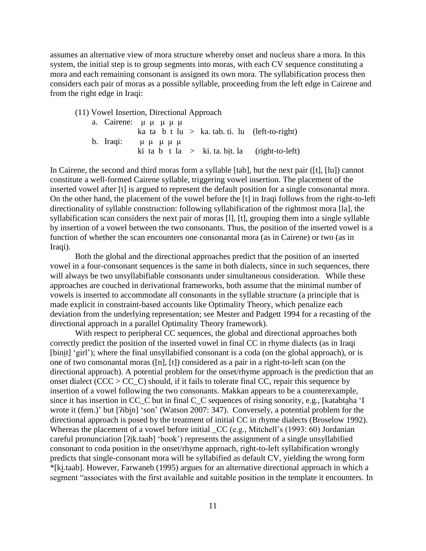assumes an alternative view of mora structure whereby onset and nucleus share a mora. In this system, the initial step is to group segments into moras, with each CV sequence constituting a mora and each remaining consonant is assigned its own mora. The syllabification process then considers each pair of moras as a possible syllable, proceeding from the left edge in Cairene and from the right edge in Iraqi:

(11) Vowel Insertion, Directional Approach

\n\n- a. Caire: 
$$
\mu \mu \mu \mu
$$
\n- ka ta b t l u > ka. tab. ti. lu (left-to-right)
\n- b. Iraqi:  $\mu \mu \mu \mu$
\n- ki ta b t l a > ki. ta. bit. la (right-to-left)
\n

In Cairene, the second and third moras form a syllable [tab], but the next pair ([t], [lu]) cannot constitute a well-formed Cairene syllable, triggering vowel insertion. The placement of the inserted vowel after [t] is argued to represent the default position for a single consonantal mora. On the other hand, the placement of the vowel before the [t] in Iraqi follows from the right-to-left directionality of syllable construction: following syllabification of the rightmost mora [la], the syllabification scan considers the next pair of moras [l], [t], grouping them into a single syllable by insertion of a vowel between the two consonants. Thus, the position of the inserted vowel is a function of whether the scan encounters one consonantal mora (as in Cairene) or two (as in Iraqi).

Both the global and the directional approaches predict that the position of an inserted vowel in a four-consonant sequences is the same in both dialects, since in such sequences, there will always be two unsyllabifiable consonants under simultaneous consideration. While these approaches are couched in derivational frameworks, both assume that the minimal number of vowels is inserted to accommodate all consonants in the syllable structure (a principle that is made explicit in constraint-based accounts like Optimality Theory, which penalize each deviation from the underlying representation; see Mester and Padgett 1994 for a recasting of the directional approach in a parallel Optimality Theory framework).

With respect to peripheral CC sequences, the global and directional approaches both correctly predict the position of the inserted vowel in final CC in rhyme dialects (as in Iraqi [binit] 'girl'); where the final unsyllabified consonant is a coda (on the global approach), or is one of two consonantal moras ([n], [t]) considered as a pair in a right-to-left scan (on the directional approach). A potential problem for the onset/rhyme approach is the prediction that an onset dialect  $(CCC > CC_C)$  should, if it fails to tolerate final CC, repair this sequence by insertion of a vowel following the two consonants. Makkan appears to be a counterexample, since it has insertion in CC\_C but in final C\_C sequences of rising sonority, e.g., [katabtaha 'I wrote it (fem.)' but [ $P$ ibin] 'son' (Watson 2007: 347). Conversely, a potential problem for the directional approach is posed by the treatment of initial CC in rhyme dialects (Broselow 1992). Whereas the placement of a vowel before initial CC (e.g., Mitchell's (1993: 60) Jordanian careful pronunciation [ʔik.taab] 'book') represents the assignment of a single unsyllabified consonant to coda position in the onset/rhyme approach, right-to-left syllabification wrongly predicts that single-consonant mora will be syllabified as default CV, yielding the wrong form \*[ki.taab]. However, Farwaneh (1995) argues for an alternative directional approach in which a segment "associates with the first available and suitable position in the template it encounters. In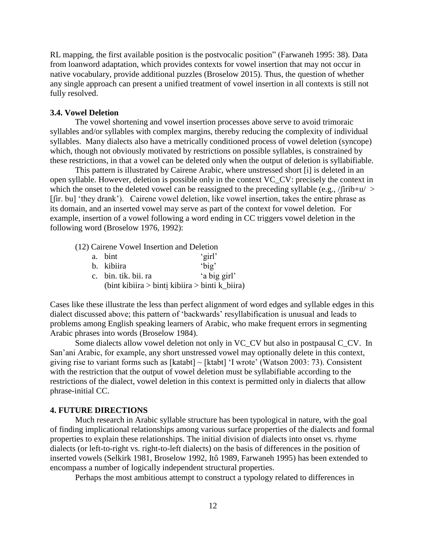RL mapping, the first available position is the postvocalic position" (Farwaneh 1995: 38). Data from loanword adaptation, which provides contexts for vowel insertion that may not occur in native vocabulary, provide additional puzzles (Broselow 2015). Thus, the question of whether any single approach can present a unified treatment of vowel insertion in all contexts is still not fully resolved.

### **3.4. Vowel Deletion**

The vowel shortening and vowel insertion processes above serve to avoid trimoraic syllables and/or syllables with complex margins, thereby reducing the complexity of individual syllables. Many dialects also have a metrically conditioned process of vowel deletion (syncope) which, though not obviously motivated by restrictions on possible syllables, is constrained by these restrictions, in that a vowel can be deleted only when the output of deletion is syllabifiable.

This pattern is illustrated by Cairene Arabic, where unstressed short [i] is deleted in an open syllable. However, deletion is possible only in the context VC\_CV: precisely the context in which the onset to the deleted vowel can be reassigned to the preceding syllable (e.g.,  $/$ firib+u $/$  > [ʃir. bu] 'they drank'). Cairene vowel deletion, like vowel insertion, takes the entire phrase as its domain, and an inserted vowel may serve as part of the context for vowel deletion. For example, insertion of a vowel following a word ending in CC triggers vowel deletion in the following word (Broselow 1976, 1992):

(12) Cairene Vowel Insertion and Deletion

| a. bint                                               | 'girl'       |
|-------------------------------------------------------|--------------|
| b. kibiira                                            | 'big'        |
| c. bin. tik. bii. ra                                  | 'a big girl' |
| $\phi$ (bint kibiira > binti kibiira > binti k_biira) |              |

Cases like these illustrate the less than perfect alignment of word edges and syllable edges in this dialect discussed above; this pattern of 'backwards' resyllabification is unusual and leads to problems among English speaking learners of Arabic, who make frequent errors in segmenting Arabic phrases into words (Broselow 1984).

Some dialects allow vowel deletion not only in VC\_CV but also in postpausal C\_CV. In San'ani Arabic, for example, any short unstressed vowel may optionally delete in this context, giving rise to variant forms such as  $[katabt] \sim [ktabt]$  'I wrote' (Watson 2003: 73). Consistent with the restriction that the output of vowel deletion must be syllabifiable according to the restrictions of the dialect, vowel deletion in this context is permitted only in dialects that allow phrase-initial CC.

### **4. FUTURE DIRECTIONS**

Much research in Arabic syllable structure has been typological in nature, with the goal of finding implicational relationships among various surface properties of the dialects and formal properties to explain these relationships. The initial division of dialects into onset vs. rhyme dialects (or left-to-right vs. right-to-left dialects) on the basis of differences in the position of inserted vowels (Selkirk 1981, Broselow 1992, Itô 1989, Farwaneh 1995) has been extended to encompass a number of logically independent structural properties.

Perhaps the most ambitious attempt to construct a typology related to differences in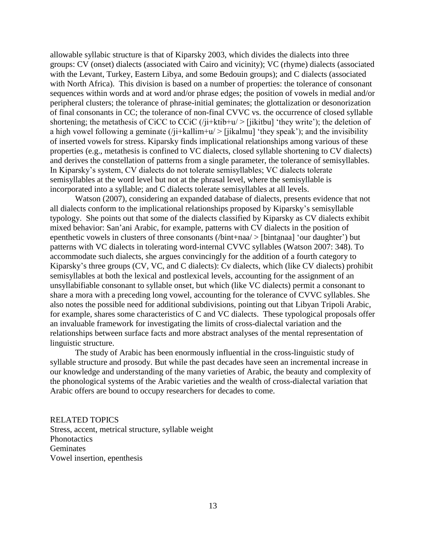allowable syllabic structure is that of Kiparsky 2003, which divides the dialects into three groups: CV (onset) dialects (associated with Cairo and vicinity); VC (rhyme) dialects (associated with the Levant, Turkey, Eastern Libya, and some Bedouin groups); and C dialects (associated with North Africa). This division is based on a number of properties: the tolerance of consonant sequences within words and at word and/or phrase edges; the position of vowels in medial and/or peripheral clusters; the tolerance of phrase-initial geminates; the glottalization or desonorization of final consonants in CC; the tolerance of non-final CVVC vs. the occurrence of closed syllable shortening; the metathesis of CiCC to CCiC (/ji+ktib+u/ > [jikitbu] 'they write'); the deletion of a high vowel following a geminate  $(i$ i+kallim+u $\ge$  [jikalmu] 'they speak'); and the invisibility of inserted vowels for stress. Kiparsky finds implicational relationships among various of these properties (e.g., metathesis is confined to VC dialects, closed syllable shortening to CV dialects) and derives the constellation of patterns from a single parameter, the tolerance of semisyllables. In Kiparsky's system, CV dialects do not tolerate semisyllables; VC dialects tolerate semisyllables at the word level but not at the phrasal level, where the semisyllable is incorporated into a syllable; and C dialects tolerate semisyllables at all levels.

Watson (2007), considering an expanded database of dialects, presents evidence that not all dialects conform to the implicational relationships proposed by Kiparsky's semisyllable typology. She points out that some of the dialects classified by Kiparsky as CV dialects exhibit mixed behavior: San'ani Arabic, for example, patterns with CV dialects in the position of epenthetic vowels in clusters of three consonants (/bint+naa/ > [bintanaa] 'our daughter') but patterns with VC dialects in tolerating word-internal CVVC syllables (Watson 2007: 348). To accommodate such dialects, she argues convincingly for the addition of a fourth category to Kiparsky's three groups (CV, VC, and C dialects): Cv dialects, which (like CV dialects) prohibit semisyllables at both the lexical and postlexical levels, accounting for the assignment of an unsyllabifiable consonant to syllable onset, but which (like VC dialects) permit a consonant to share a mora with a preceding long vowel, accounting for the tolerance of CVVC syllables. She also notes the possible need for additional subdivisions, pointing out that Libyan Tripoli Arabic, for example, shares some characteristics of C and VC dialects. These typological proposals offer an invaluable framework for investigating the limits of cross-dialectal variation and the relationships between surface facts and more abstract analyses of the mental representation of linguistic structure.

The study of Arabic has been enormously influential in the cross-linguistic study of syllable structure and prosody. But while the past decades have seen an incremental increase in our knowledge and understanding of the many varieties of Arabic, the beauty and complexity of the phonological systems of the Arabic varieties and the wealth of cross-dialectal variation that Arabic offers are bound to occupy researchers for decades to come.

#### RELATED TOPICS

Stress, accent, metrical structure, syllable weight **Phonotactics** Geminates Vowel insertion, epenthesis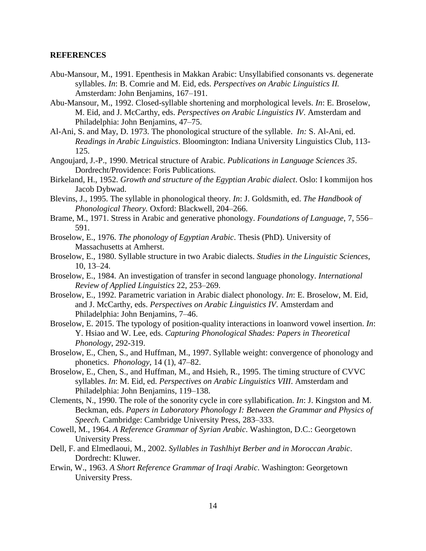#### **REFERENCES**

- Abu-Mansour, M., 1991. Epenthesis in Makkan Arabic: Unsyllabified consonants vs. degenerate syllables. *In*: B. Comrie and M. Eid, eds. *Perspectives on Arabic Linguistics II.* Amsterdam: John Benjamins, 167–191.
- Abu-Mansour, M., 1992. Closed-syllable shortening and morphological levels. *In*: E. Broselow, M. Eid, and J. McCarthy, eds. *Perspectives on Arabic Linguistics IV*. Amsterdam and Philadelphia: John Benjamins, 47–75.
- Al-Ani, S. and May, D. 1973. The phonological structure of the syllable. *In:* S. Al-Ani, ed. *Readings in Arabic Linguistics*. Bloomington: Indiana University Linguistics Club, 113- 125.
- Angoujard, J.-P., 1990. Metrical structure of Arabic. *Publications in Language Sciences 35*. Dordrecht/Providence: Foris Publications.
- Birkeland, H., 1952. *Growth and structure of the Egyptian Arabic dialect*. Oslo: I kommijon hos Jacob Dybwad.
- Blevins, J., 1995. The syllable in phonological theory. *In*: J. Goldsmith, ed. *The Handbook of Phonological Theory.* Oxford: Blackwell, 204–266.
- Brame, M., 1971. Stress in Arabic and generative phonology. *Foundations of Language*, 7, 556– 591.
- Broselow, E., 1976. *The phonology of Egyptian Arabic*. Thesis (PhD). University of Massachusetts at Amherst.
- Broselow, E., 1980. Syllable structure in two Arabic dialects. *Studies in the Linguistic Sciences*, 10, 13–24.
- Broselow, E., 1984. An investigation of transfer in second language phonology. *International Review of Applied Linguistics* 22, 253–269.
- Broselow, E., 1992. Parametric variation in Arabic dialect phonology. *In*: E. Broselow, M. Eid, and J. McCarthy, eds. *Perspectives on Arabic Linguistics IV*. Amsterdam and Philadelphia: John Benjamins, 7–46.
- Broselow, E. 2015. The typology of position-quality interactions in loanword vowel insertion. *In*: Y. Hsiao and W. Lee, eds. *Capturing Phonological Shades: Papers in Theoretical Phonology*, 292-319.
- Broselow, E., Chen, S., and Huffman, M., 1997. Syllable weight: convergence of phonology and phonetics. *Phonology*, 14 (1), 47–82.
- Broselow, E., Chen, S., and Huffman, M., and Hsieh, R., 1995. The timing structure of CVVC syllables. *In*: M. Eid, ed. *Perspectives on Arabic Linguistics VIII*. Amsterdam and Philadelphia: John Benjamins, 119–138.
- Clements, N., 1990. The role of the sonority cycle in core syllabification. *In*: J. Kingston and M. Beckman, eds. *Papers in Laboratory Phonology I: Between the Grammar and Physics of Speech.* Cambridge: Cambridge University Press, 283–333.
- Cowell, M., 1964. *A Reference Grammar of Syrian Arabic*. Washington, D.C.: Georgetown University Press.
- Dell, F. and Elmedlaoui, M., 2002. *Syllables in Tashlhiyt Berber and in Moroccan Arabic*. Dordrecht: Kluwer.
- Erwin, W., 1963. *A Short Reference Grammar of Iraqi Arabic*. Washington: Georgetown University Press.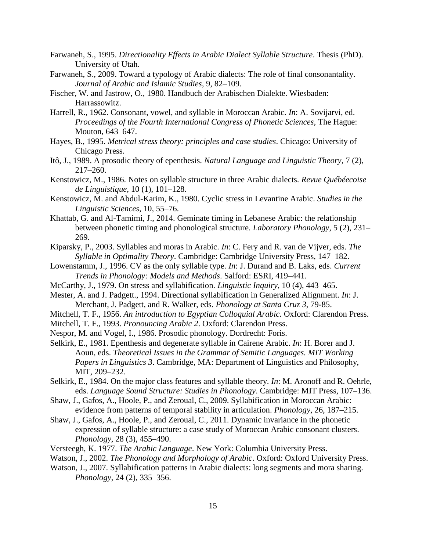- Farwaneh, S., 1995. *Directionality Effects in Arabic Dialect Syllable Structure*. Thesis (PhD). University of Utah.
- Farwaneh, S., 2009. Toward a typology of Arabic dialects: The role of final consonantality. *Journal of Arabic and Islamic Studies*, 9, 82–109.
- Fischer, W. and Jastrow, O., 1980. Handbuch der Arabischen Dialekte. Wiesbaden: Harrassowitz.
- Harrell, R., 1962. Consonant, vowel, and syllable in Moroccan Arabic. *In*: A. Sovijarvi, ed. *Proceedings of the Fourth International Congress of Phonetic Sciences,* The Hague: Mouton, 643–647.
- Hayes, B., 1995. *Metrical stress theory: principles and case studies*. Chicago: University of Chicago Press.
- Itô, J., 1989. A prosodic theory of epenthesis. *Natural Language and Linguistic Theory*, 7 (2), 217–260.
- Kenstowicz, M., 1986. Notes on syllable structure in three Arabic dialects. *Revue Québéecoise de Linguistique*, 10 (1), 101–128.
- Kenstowicz, M. and Abdul-Karim, K., 1980. Cyclic stress in Levantine Arabic. *Studies in the Linguistic Sciences*, 10, 55–76.
- Khattab, G. and Al-Tamimi, J., 2014. Geminate timing in Lebanese Arabic: the relationship between phonetic timing and phonological structure. *Laboratory Phonology*, 5 (2), 231– 269.
- Kiparsky, P., 2003. Syllables and moras in Arabic. *In*: C. Fery and R. van de Vijver, eds. *The Syllable in Optimality Theory*. Cambridge: Cambridge University Press, 147–182.
- Lowenstamm, J., 1996. CV as the only syllable type. *In*: J. Durand and B. Laks, eds. *Current Trends in Phonology: Models and Methods*. Salford: ESRI, 419–441.
- McCarthy, J., 1979. On stress and syllabification. *Linguistic Inquiry*, 10 (4), 443–465.
- Mester, A. and J. Padgett., 1994. Directional syllabification in Generalized Alignment. *In*: J. Merchant, J. Padgett, and R. Walker, eds. *Phonology at Santa Cruz 3*, 79-85.
- Mitchell, T. F., 1956. *An introduction to Egyptian Colloquial Arabic.* Oxford: Clarendon Press.
- Mitchell, T. F., 1993. *Pronouncing Arabic 2*. Oxford: Clarendon Press.
- Nespor, M. and Vogel, I., 1986. Prosodic phonology. Dordrecht: Foris.
- Selkirk, E., 1981. Epenthesis and degenerate syllable in Cairene Arabic. *In*: H. Borer and J. Aoun, eds. *Theoretical Issues in the Grammar of Semitic Languages. MIT Working Papers in Linguistics 3*. Cambridge, MA: Department of Linguistics and Philosophy, MIT, 209–232.
- Selkirk, E., 1984. On the major class features and syllable theory. *In*: M. Aronoff and R. Oehrle, eds. *Language Sound Structure: Studies in Phonology*. Cambridge: MIT Press, 107–136.
- Shaw, J., Gafos, A., Hoole, P., and Zeroual, C., 2009. Syllabification in Moroccan Arabic: evidence from patterns of temporal stability in articulation. *Phonology*, 26, 187–215.
- Shaw, J., Gafos, A., Hoole, P., and Zeroual, C., 2011. Dynamic invariance in the phonetic expression of syllable structure: a case study of Moroccan Arabic consonant clusters. *Phonology*, 28 (3), 455–490.
- Versteegh, K. 1977. *The Arabic Language*. New York: Columbia University Press.
- Watson, J., 2002. *The Phonology and Morphology of Arabic*. Oxford: Oxford University Press.
- Watson, J., 2007. Syllabification patterns in Arabic dialects: long segments and mora sharing. *Phonology*, 24 (2), 335–356.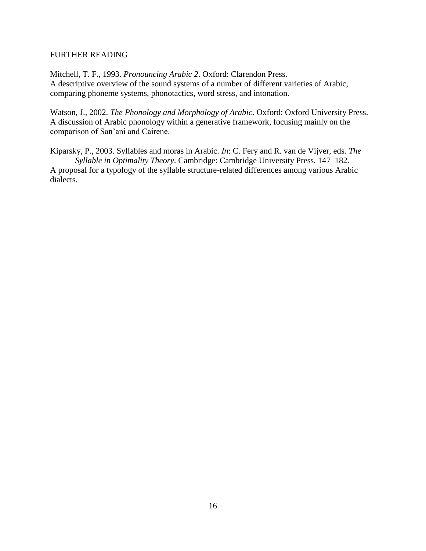# FURTHER READING

Mitchell, T. F., 1993. *Pronouncing Arabic 2*. Oxford: Clarendon Press. A descriptive overview of the sound systems of a number of different varieties of Arabic, comparing phoneme systems, phonotactics, word stress, and intonation.

Watson, J., 2002. *The Phonology and Morphology of Arabic*. Oxford: Oxford University Press. A discussion of Arabic phonology within a generative framework, focusing mainly on the comparison of San'ani and Cairene.

Kiparsky, P., 2003. Syllables and moras in Arabic. *In*: C. Fery and R. van de Vijver, eds. *The Syllable in Optimality Theory*. Cambridge: Cambridge University Press, 147–182. A proposal for a typology of the syllable structure-related differences among various Arabic dialects.